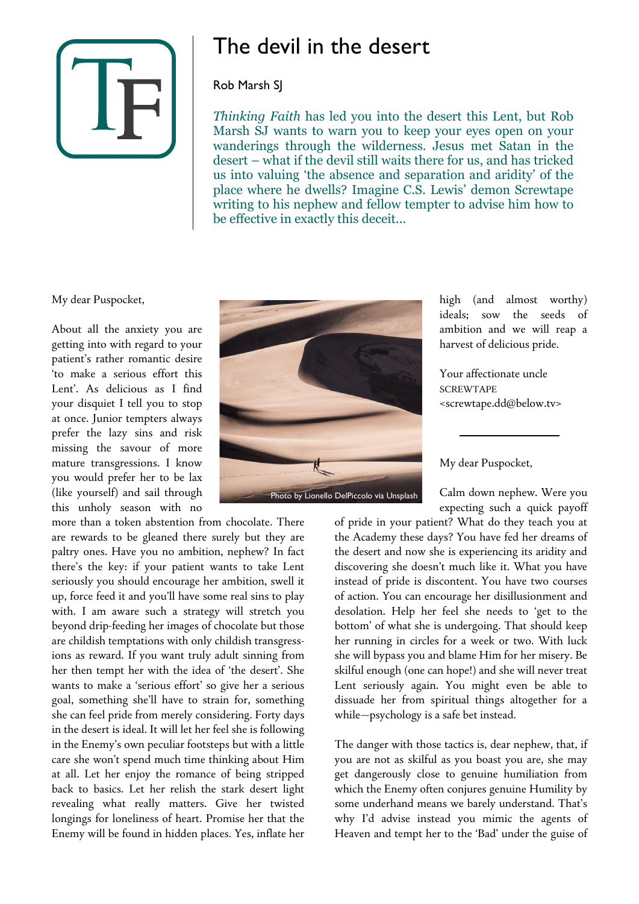

## The devil in the desert

## Rob Marsh SJ

*Thinking Faith* has led you into the desert this Lent, but Rob Marsh SJ wants to warn you to keep your eyes open on your wanderings through the wilderness. Jesus met Satan in the desert – what if the devil still waits there for us, and has tricked us into valuing 'the absence and separation and aridity' of the place where he dwells? Imagine C.S. Lewis' demon Screwtape writing to his nephew and fellow tempter to advise him how to be effective in exactly this deceit...

My dear Puspocket,

About all the anxiety you are getting into with regard to your patient's rather romantic desire 'to make a serious effort this Lent'. As delicious as I find your disquiet I tell you to stop at once. Junior tempters always prefer the lazy sins and risk missing the savour of more mature transgressions. I know you would prefer her to be lax (like yourself) and sail through this unholy season with no

more than a token abstention from chocolate. There are rewards to be gleaned there surely but they are paltry ones. Have you no ambition, nephew? In fact there's the key: if your patient wants to take Lent seriously you should encourage her ambition, swell it up, force feed it and you'll have some real sins to play with. I am aware such a strategy will stretch you beyond drip-feeding her images of chocolate but those are childish temptations with only childish transgressions as reward. If you want truly adult sinning from her then tempt her with the idea of 'the desert'. She wants to make a 'serious effort' so give her a serious goal, something she'll have to strain for, something she can feel pride from merely considering. Forty days in the desert is ideal. It will let her feel she is following in the Enemy's own peculiar footsteps but with a little care she won't spend much time thinking about Him at all. Let her enjoy the romance of being stripped back to basics. Let her relish the stark desert light revealing what really matters. Give her twisted longings for loneliness of heart. Promise her that the Enemy will be found in hidden places. Yes, inflate her



high (and almost worthy) ideals; sow the seeds of ambition and we will reap a harvest of delicious pride.

Your affectionate uncle **SCREWTAPE** <screwtape.dd@below.tv>

My dear Puspocket,

Calm down nephew. Were you expecting such a quick payoff

of pride in your patient? What do they teach you at the Academy these days? You have fed her dreams of the desert and now she is experiencing its aridity and discovering she doesn't much like it. What you have instead of pride is discontent. You have two courses of action. You can encourage her disillusionment and desolation. Help her feel she needs to 'get to the bottom' of what she is undergoing. That should keep her running in circles for a week or two. With luck she will bypass you and blame Him for her misery. Be skilful enough (one can hope!) and she will never treat Lent seriously again. You might even be able to dissuade her from spiritual things altogether for a while—psychology is a safe bet instead.

The danger with those tactics is, dear nephew, that, if you are not as skilful as you boast you are, she may get dangerously close to genuine humiliation from which the Enemy often conjures genuine Humility by some underhand means we barely understand. That's why I'd advise instead you mimic the agents of Heaven and tempt her to the 'Bad' under the guise of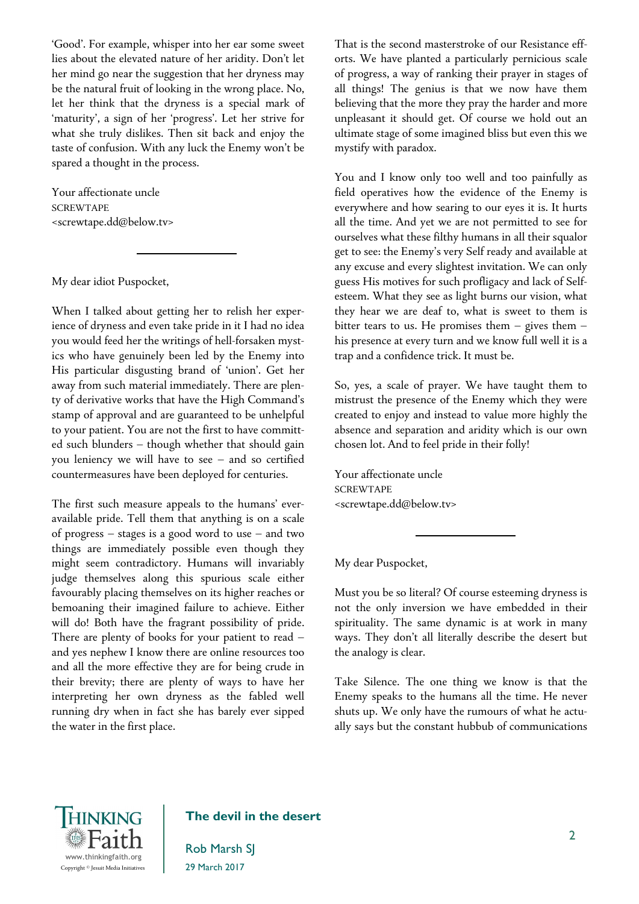'Good'. For example, whisper into her ear some sweet lies about the elevated nature of her aridity. Don't let her mind go near the suggestion that her dryness may be the natural fruit of looking in the wrong place. No, let her think that the dryness is a special mark of 'maturity', a sign of her 'progress'. Let her strive for what she truly dislikes. Then sit back and enjoy the taste of confusion. With any luck the Enemy won't be spared a thought in the process.

Your affectionate uncle **SCREWTAPE** <screwtape.dd@below.tv>

My dear idiot Puspocket,

When I talked about getting her to relish her experience of dryness and even take pride in it I had no idea you would feed her the writings of hell-forsaken mystics who have genuinely been led by the Enemy into His particular disgusting brand of 'union'. Get her away from such material immediately. There are plenty of derivative works that have the High Command's stamp of approval and are guaranteed to be unhelpful to your patient. You are not the first to have committed such blunders – though whether that should gain you leniency we will have to see – and so certified countermeasures have been deployed for centuries.

The first such measure appeals to the humans' everavailable pride. Tell them that anything is on a scale of progress – stages is a good word to use – and two things are immediately possible even though they might seem contradictory. Humans will invariably judge themselves along this spurious scale either favourably placing themselves on its higher reaches or bemoaning their imagined failure to achieve. Either will do! Both have the fragrant possibility of pride. There are plenty of books for your patient to read – and yes nephew I know there are online resources too and all the more effective they are for being crude in their brevity; there are plenty of ways to have her interpreting her own dryness as the fabled well running dry when in fact she has barely ever sipped the water in the first place.

That is the second masterstroke of our Resistance efforts. We have planted a particularly pernicious scale of progress, a way of ranking their prayer in stages of all things! The genius is that we now have them believing that the more they pray the harder and more unpleasant it should get. Of course we hold out an ultimate stage of some imagined bliss but even this we mystify with paradox.

You and I know only too well and too painfully as field operatives how the evidence of the Enemy is everywhere and how searing to our eyes it is. It hurts all the time. And yet we are not permitted to see for ourselves what these filthy humans in all their squalor get to see: the Enemy's very Self ready and available at any excuse and every slightest invitation. We can only guess His motives for such profligacy and lack of Selfesteem. What they see as light burns our vision, what they hear we are deaf to, what is sweet to them is bitter tears to us. He promises them – gives them – his presence at every turn and we know full well it is a trap and a confidence trick. It must be.

So, yes, a scale of prayer. We have taught them to mistrust the presence of the Enemy which they were created to enjoy and instead to value more highly the absence and separation and aridity which is our own chosen lot. And to feel pride in their folly!

Your affectionate uncle **SCREWTAPE** <screwtape.dd@below.tv>

My dear Puspocket,

Must you be so literal? Of course esteeming dryness is not the only inversion we have embedded in their spirituality. The same dynamic is at work in many ways. They don't all literally describe the desert but the analogy is clear.

Take Silence. The one thing we know is that the Enemy speaks to the humans all the time. He never shuts up. We only have the rumours of what he actually says but the constant hubbub of communications



## The devil in the desert

Rob Marsh SJ 29 March 2017